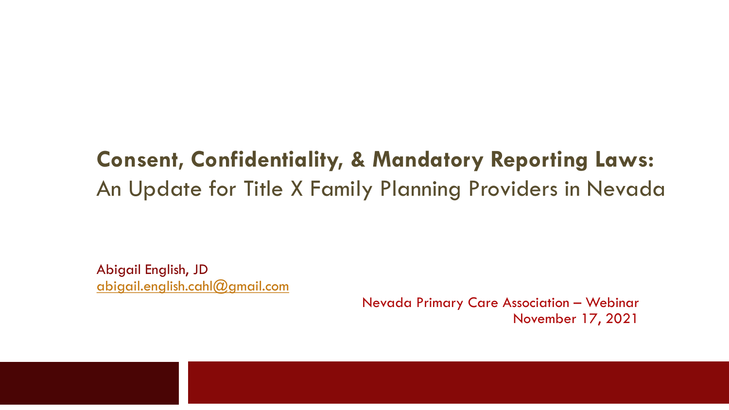### **Consent, Confidentiality, & Mandatory Reporting Laws:** An Update for Title X Family Planning Providers in Nevada

Abigail English, JD abigail.english.cahl@gmail.com

> Nevada Primary Care Association – Webinar November 17, 2021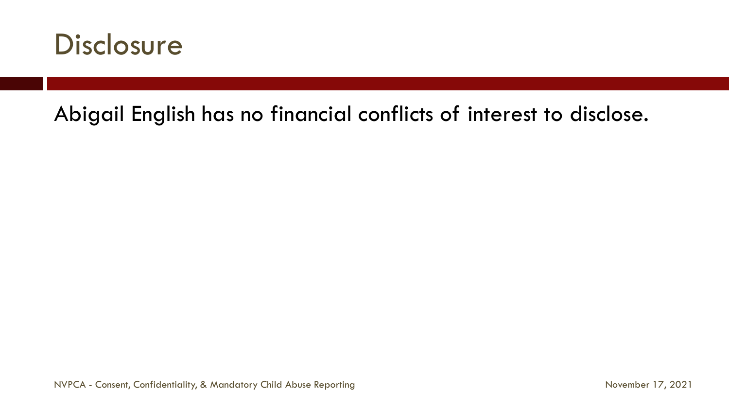

### Abigail English has no financial conflicts of interest to disclose.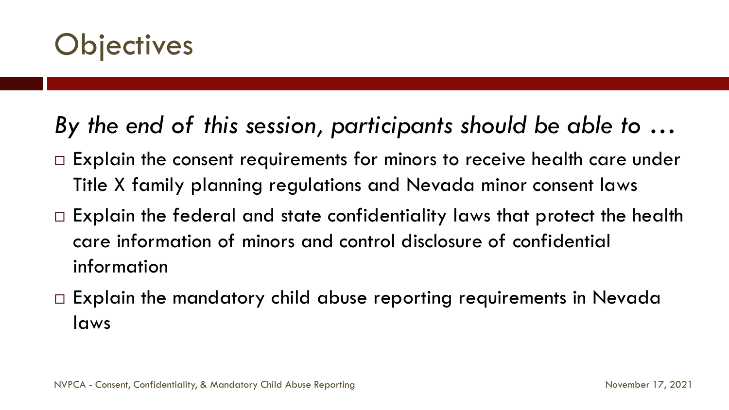

### *By the end of this session, participants should be able to …*

- □ Explain the consent requirements for minors to receive health care under Title X family planning regulations and Nevada minor consent laws
- $\Box$  Explain the federal and state confidentiality laws that protect the health care information of minors and control disclosure of confidential information
- $\Box$  Explain the mandatory child abuse reporting requirements in Nevada laws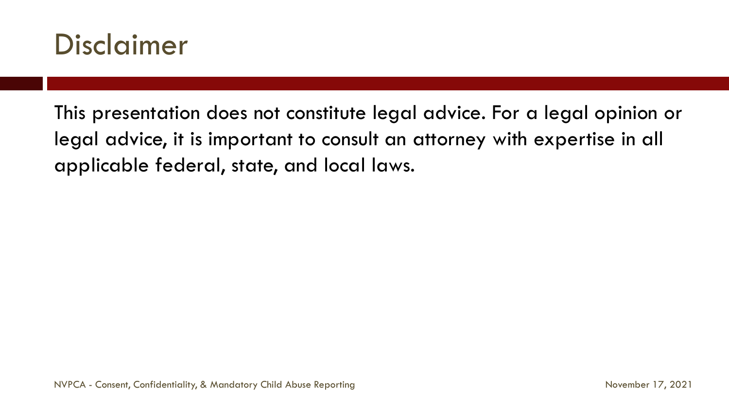

This presentation does not constitute legal advice. For a legal opinion or legal advice, it is important to consult an attorney with expertise in all applicable federal, state, and local laws.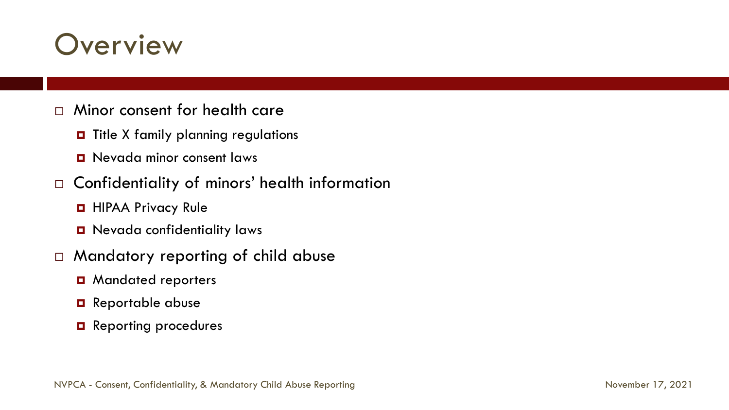## **Overview**

- Minor consent for health care
	- $\blacksquare$  Title X family planning regulations
	- **D** Nevada minor consent laws
- □ Confidentiality of minors' health information
	- **HIPAA Privacy Rule**
	- **D** Nevada confidentiality laws
- Mandatory reporting of child abuse
	- **D** Mandated reporters
	- **Q** Reportable abuse
	- **Q** Reporting procedures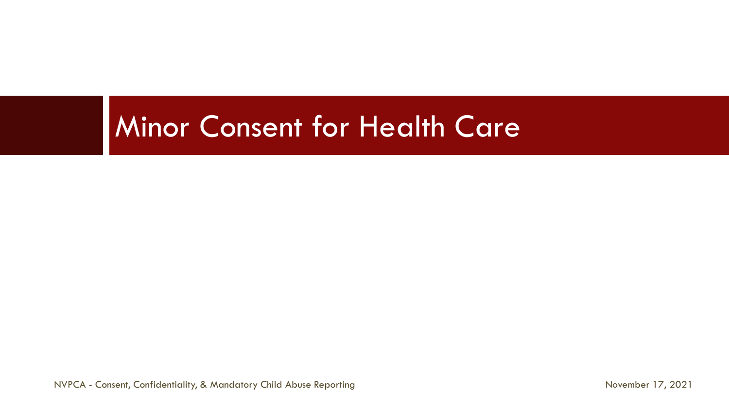## Minor Consent for Health Care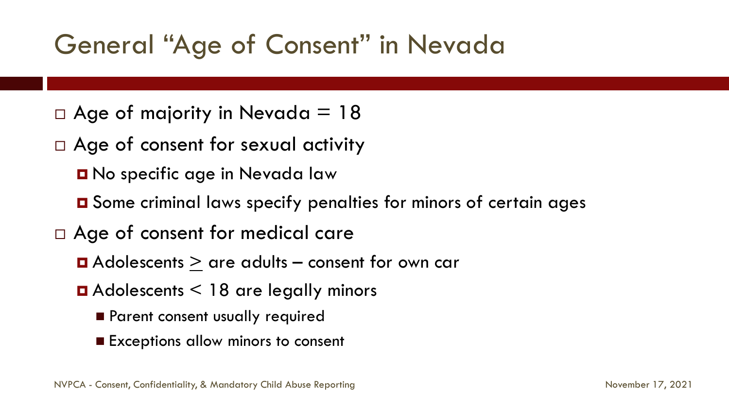## General "Age of Consent" in Nevada

- $\Box$  Age of majority in Nevada = 18
- □ Age of consent for sexual activity
	- **D** No specific age in Nevada law
	- Some criminal laws specify penalties for minors of certain ages
- Age of consent for medical care
	- $\Box$  Adolescents  $>$  are adults consent for own car
	- $\blacksquare$  Adolescents  $\lt$  18 are legally minors
		- **Parent consent usually required**
		- Exceptions allow minors to consent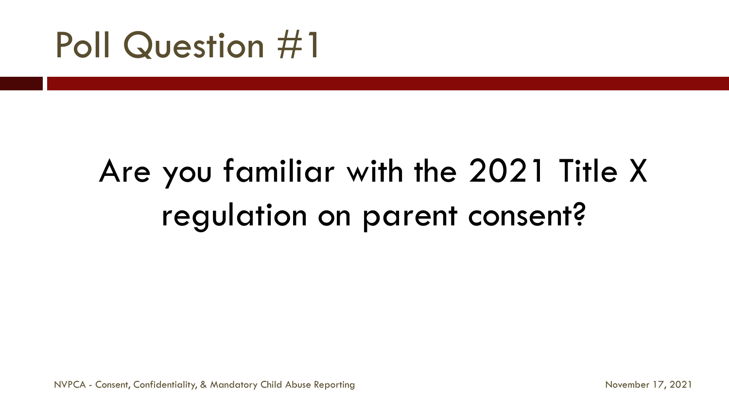## Poll Question #1

# Are you familiar with the 2021 Title X regulation on parent consent?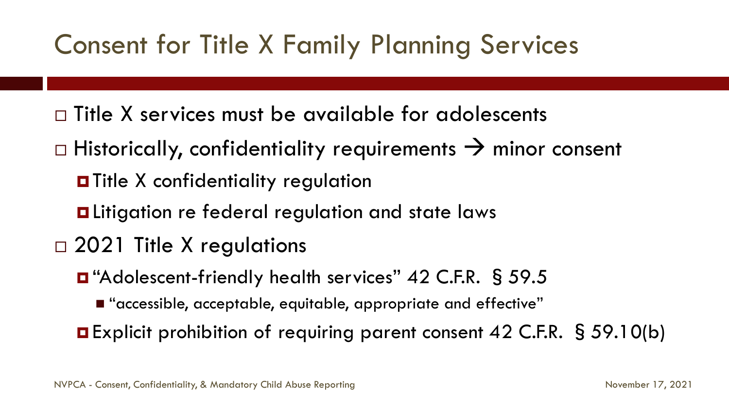## Consent for Title X Family Planning Services

- $\Box$  Title X services must be available for adolescents
- $\Box$  Historically, confidentiality requirements  $\rightarrow$  minor consent
	- **O** Title X confidentiality regulation
	- **Litigation re federal regulation and state laws**
- □ 2021 Title X regulations
	- "Adolescent-friendly health services" 42 C.F.R. § 59.5
		- "accessible, acceptable, equitable, appropriate and effective"
	- Explicit prohibition of requiring parent consent 42 C.F.R. § 59.10(b)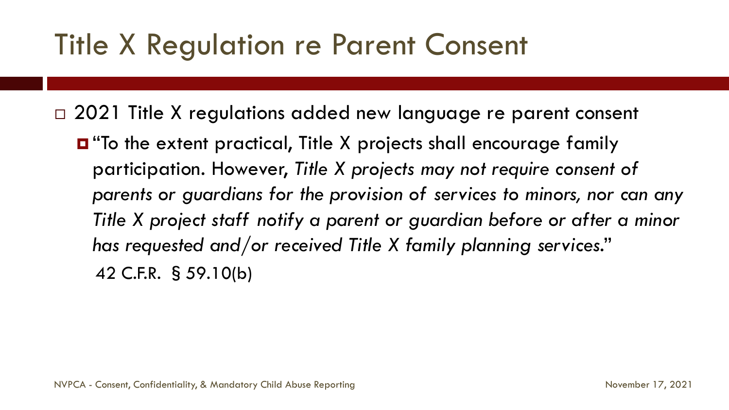## Title X Regulation re Parent Consent

□ 2021 Title X regulations added new language re parent consent

 "To the extent practical, Title X projects shall encourage family participation. However, *Title X projects may not require consent of parents or guardians for the provision of services to minors, nor can any Title X project staff notify a parent or guardian before or after a minor has requested and/or received Title X family planning services*." 42 C.F.R. §59.10(b)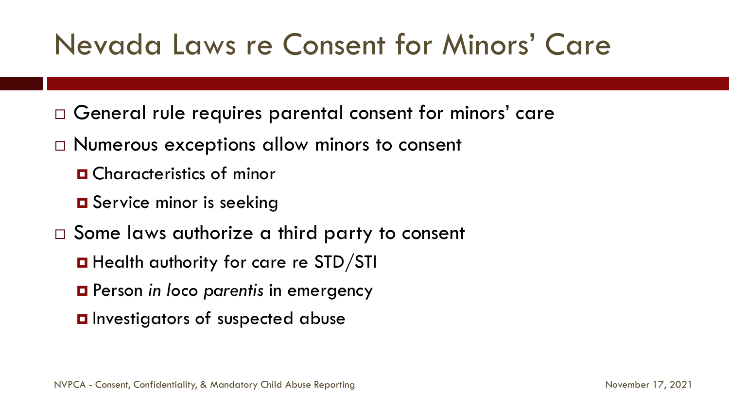## Nevada Laws re Consent for Minors' Care

- General rule requires parental consent for minors' care
- □ Numerous exceptions allow minors to consent
	- **O** Characteristics of minor
	- **O** Service minor is seeking
- □ Some laws authorize a third party to consent
	- **Health authority for care re STD/STI**
	- Person *in loco parentis* in emergency
	- **O** Investigators of suspected abuse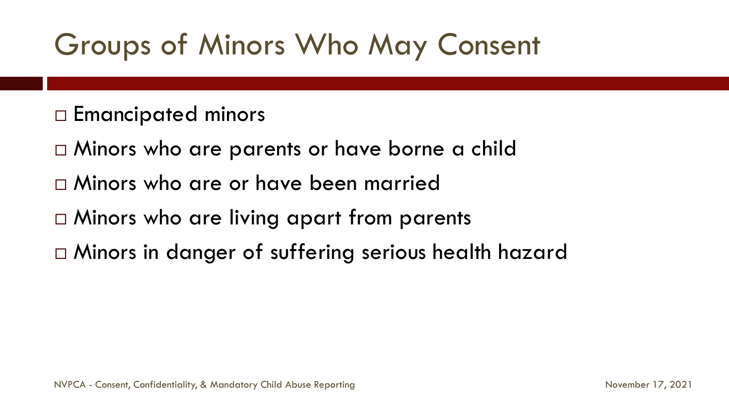## Groups of Minors Who May Consent

- Emancipated minors
- $\Box$  Minors who are parents or have borne a child
- Minors who are or have been married
- □ Minors who are living apart from parents
- Minors in danger of suffering serious health hazard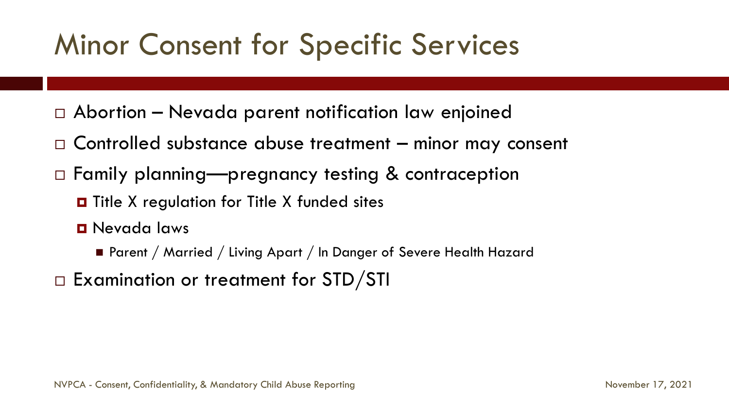## Minor Consent for Specific Services

- Abortion Nevada parent notification law enjoined
- Controlled substance abuse treatment minor may consent
- □ Family planning—pregnancy testing & contraception
	- $\blacksquare$  Title X regulation for Title X funded sites
	- Nevada laws
		- Parent / Married / Living Apart / In Danger of Severe Health Hazard
- $\Box$  Examination or treatment for STD/STI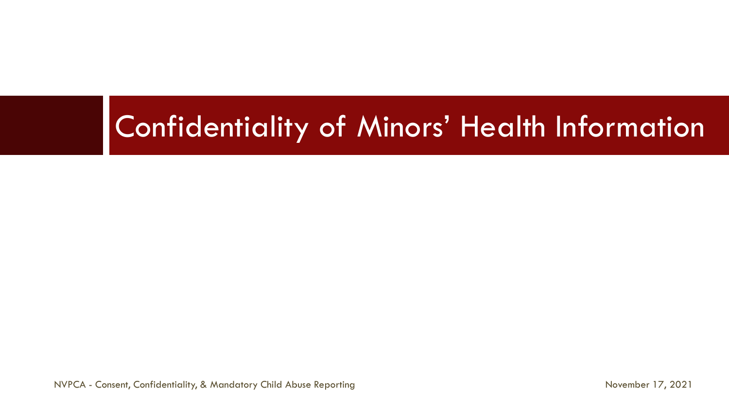## Confidentiality of Minors' Health Information

NVPCA - Consent, Confidentiality, & Mandatory Child Abuse Reporting November 17, 2021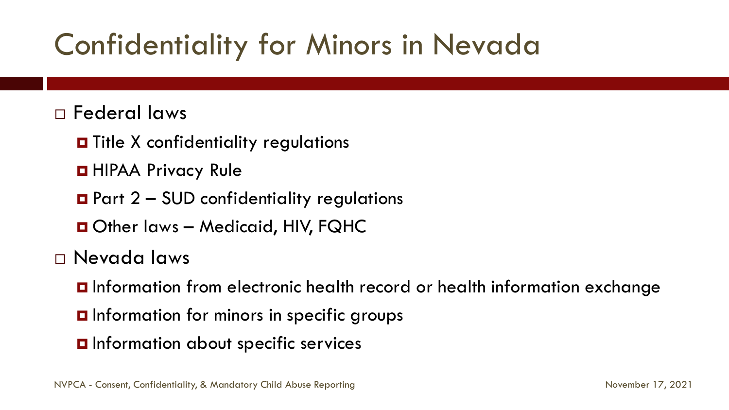## Confidentiality for Minors in Nevada

#### Federal laws

- $\blacksquare$  Title X confidentiality regulations
- **D** HIPAA Privacy Rule
- $\blacksquare$  Part 2 SUD confidentiality regulations
- Other laws Medicaid, HIV, FQHC
- Nevada laws
	- Information from electronic health record or health information exchange
	- **O** Information for minors in specific groups
	- **O** Information about specific services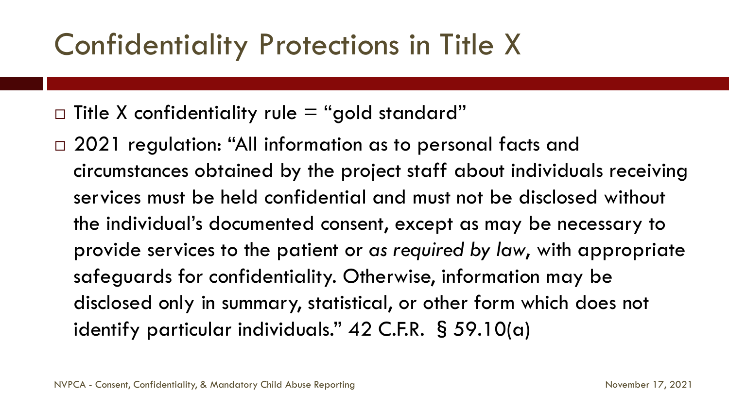## Confidentiality Protections in Title X

- $\Box$  Title X confidentiality rule  $=$  "gold standard"
- □ 2021 regulation: "All information as to personal facts and circumstances obtained by the project staff about individuals receiving services must be held confidential and must not be disclosed without the individual's documented consent, except as may be necessary to provide services to the patient or *as required by law*, with appropriate safeguards for confidentiality. Otherwise, information may be disclosed only in summary, statistical, or other form which does not identify particular individuals." 42 C.F.R. §59.10(a)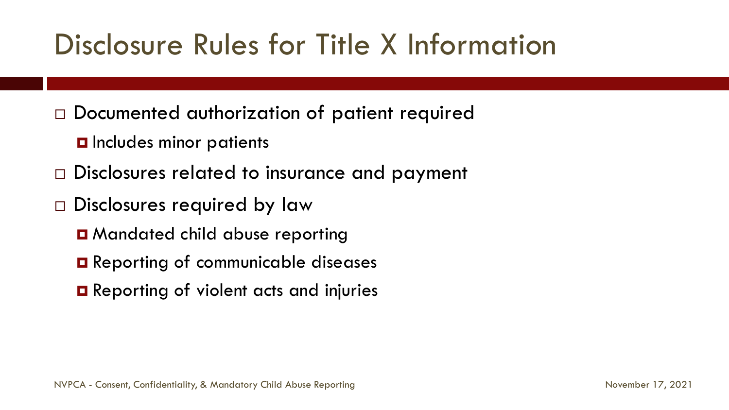## Disclosure Rules for Title X Information

- Documented authorization of patient required
	- **D** Includes minor patients
- □ Disclosures related to insurance and payment
- □ Disclosures required by law
	- **D** Mandated child abuse reporting
	- **O** Reporting of communicable diseases
	- **O** Reporting of violent acts and injuries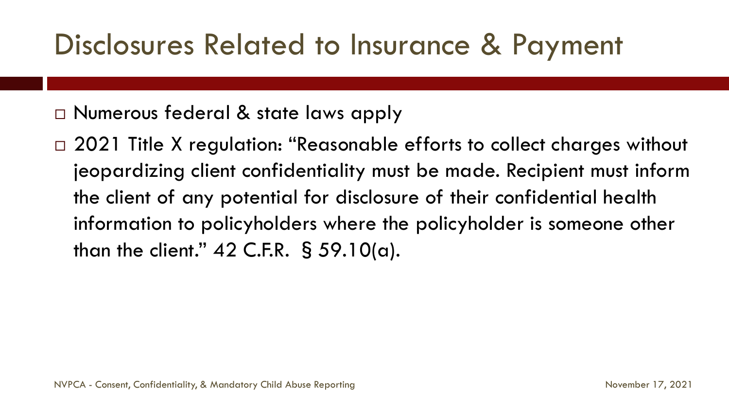## Disclosures Related to Insurance & Payment

□ Numerous federal & state laws apply

□ 2021 Title X regulation: "Reasonable efforts to collect charges without jeopardizing client confidentiality must be made. Recipient must inform the client of any potential for disclosure of their confidential health information to policyholders where the policyholder is someone other than the client."  $42$  C.F.R. § 59.10(a).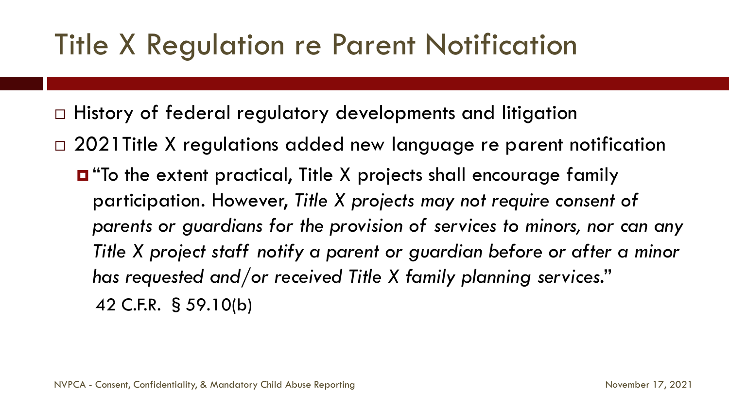## Title X Regulation re Parent Notification

- □ History of federal regulatory developments and litigation
- □ 2021 Title X regulations added new language re parent notification
	- "To the extent practical, Title X projects shall encourage family participation. However, *Title X projects may not require consent of parents or guardians for the provision of services to minors, nor can any Title X project staff notify a parent or guardian before or after a minor has requested and/or received Title X family planning services*." 42 C.F.R. §59.10(b)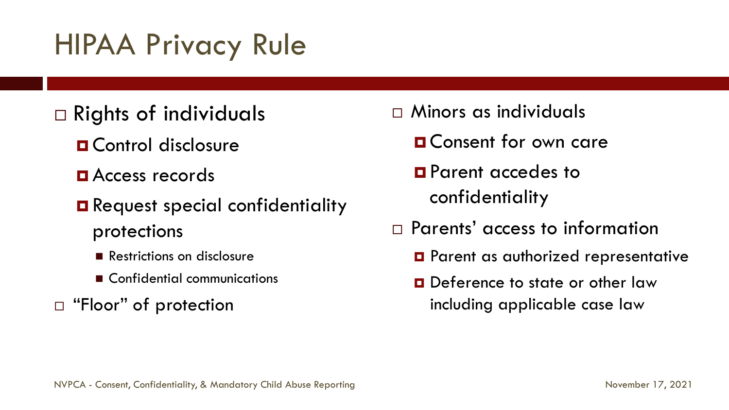## HIPAA Privacy Rule

### $\Box$  Rights of individuals

- **O** Control disclosure
- **D** Access records
- **Request special confidentiality** protections
	- Restrictions on disclosure
	- Confidential communications
- □ "Floor" of protection
- Minors as individuals
	- **O** Consent for own care
	- **Parent accedes to** confidentiality
- Parents' access to information
	- **O** Parent as authorized representative
	- **D** Deference to state or other law including applicable case law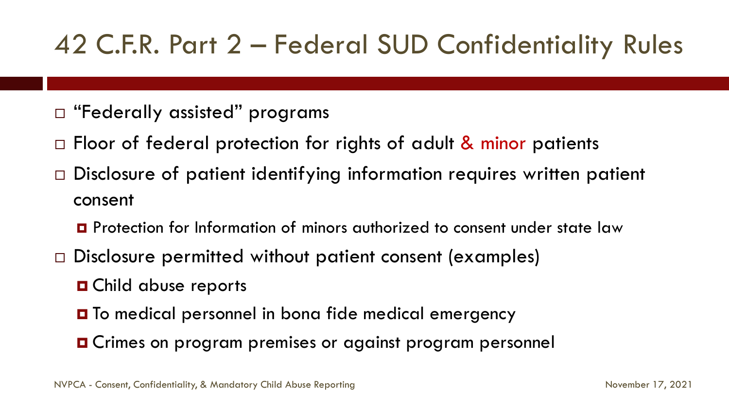## 42 C.F.R. Part 2 – Federal SUD Confidentiality Rules

- □ "Federally assisted" programs
- $\Box$  Floor of federal protection for rights of adult & minor patients
- $\Box$  Disclosure of patient identifying information requires written patient consent
	- **P** Protection for Information of minors authorized to consent under state law
- □ Disclosure permitted without patient consent (examples)
	- **O** Child abuse reports
	- **□** To medical personnel in bona fide medical emergency
	- **O** Crimes on program premises or against program personnel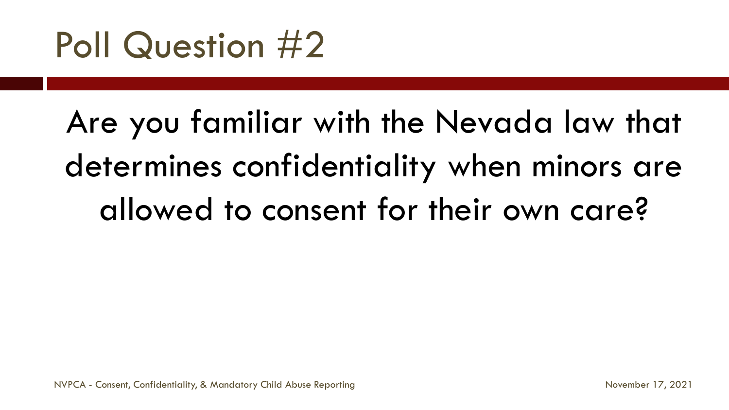# Poll Question #2

# Are you familiar with the Nevada law that determines confidentiality when minors are allowed to consent for their own care?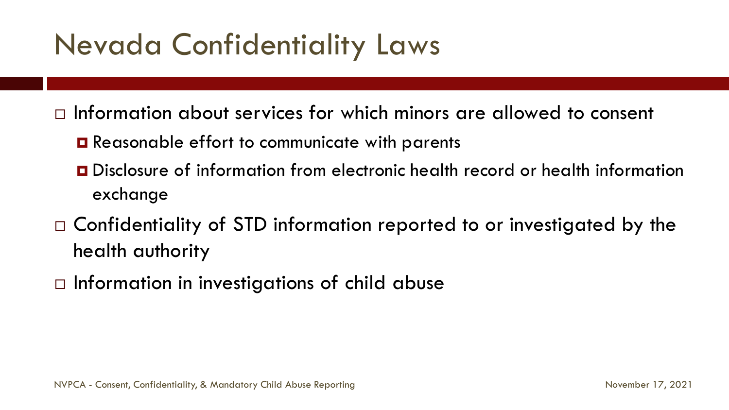## Nevada Confidentiality Laws

 $\Box$  Information about services for which minors are allowed to consent

- **□** Reasonable effort to communicate with parents
- Disclosure of information from electronic health record or health information exchange
- $\Box$  Confidentiality of STD information reported to or investigated by the health authority
- $\Box$  Information in investigations of child abuse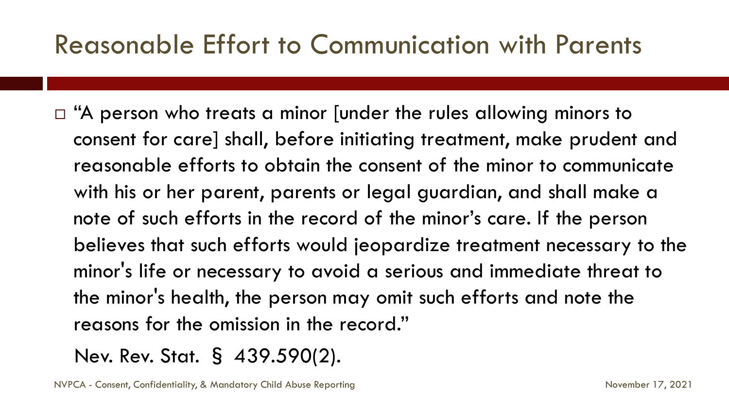### Reasonable Effort to Communication with Parents

 $\Box$  "A person who treats a minor [under the rules allowing minors to consent for care] shall, before initiating treatment, make prudent and reasonable efforts to obtain the consent of the minor to communicate with his or her parent, parents or legal guardian, and shall make a note of such efforts in the record of the minor's care. If the person believes that such efforts would jeopardize treatment necessary to the minor's life or necessary to avoid a serious and immediate threat to the minor's health, the person may omit such efforts and note the reasons for the omission in the record."

Nev. Rev. Stat. § 439.590(2).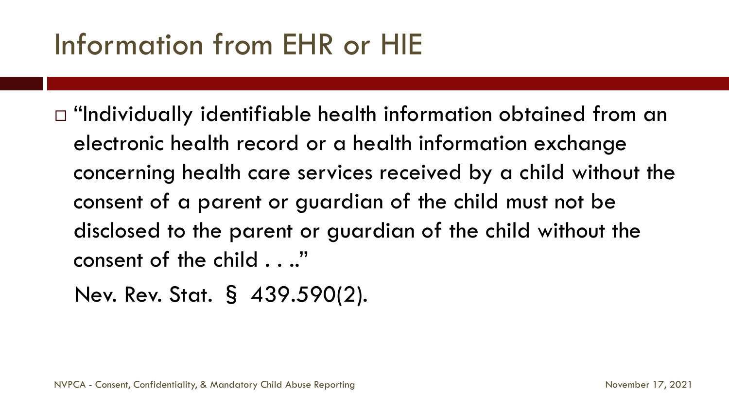## Information from EHR or HIE

- $\Box$  "Individually identifiable health information obtained from an electronic health record or a health information exchange concerning health care services received by a child without the consent of a parent or guardian of the child must not be disclosed to the parent or guardian of the child without the consent of the child . . .."
	- Nev. Rev. Stat. § 439.590(2).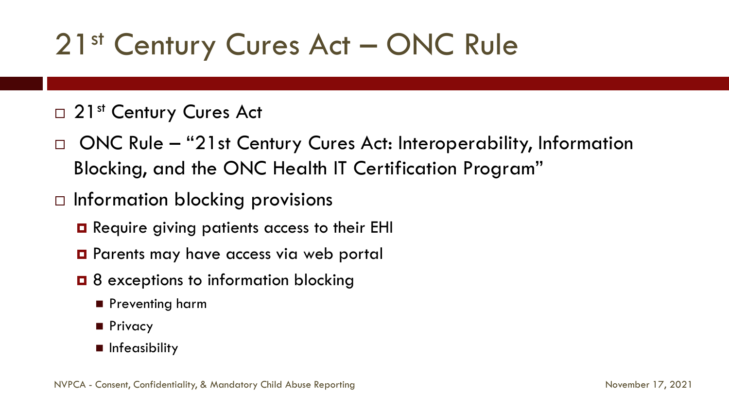## 21<sup>st</sup> Century Cures Act – ONC Rule

#### □ 21<sup>st</sup> Century Cures Act

- □ ONC Rule "21st Century Cures Act: Interoperability, Information Blocking, and the ONC Health IT Certification Program"
- $\Box$  Information blocking provisions
	- **Q** Require giving patients access to their EHI
	- **O** Parents may have access via web portal
	- $\Box$  8 exceptions to information blocking
		- **Preventing harm**
		- **Privacy**
		- **n** Infeasibility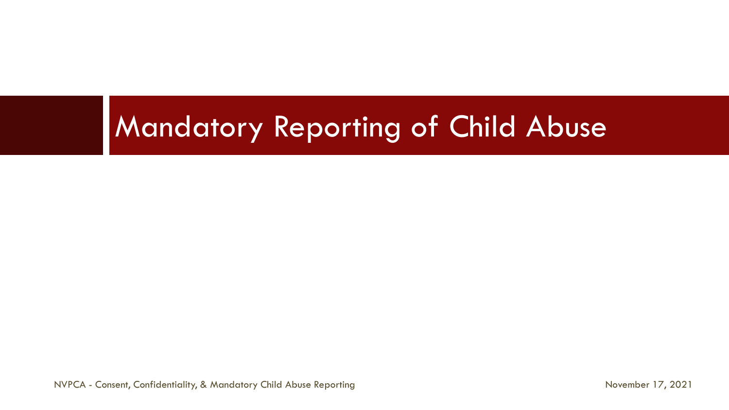## Mandatory Reporting of Child Abuse

NVPCA - Consent, Confidentiality, & Mandatory Child Abuse Reporting November 17, 2021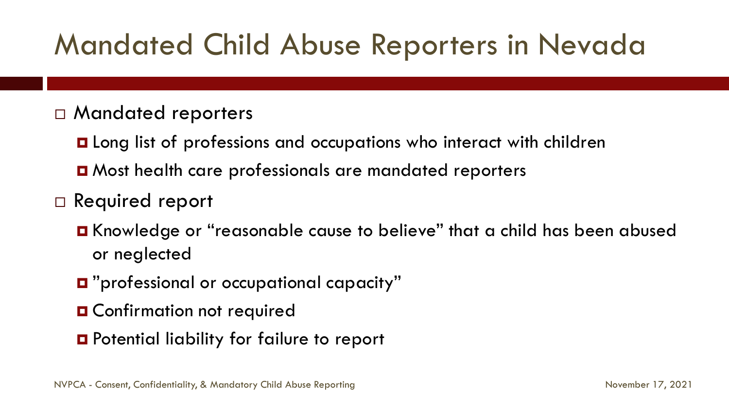## Mandated Child Abuse Reporters in Nevada

#### Mandated reporters

■ Long list of professions and occupations who interact with children **D** Most health care professionals are mandated reporters

#### □ Required report

- Knowledge or "reasonable cause to believe" that a child has been abused or neglected
- "professional or occupational capacity"
- **O** Confirmation not required
- **O** Potential liability for failure to report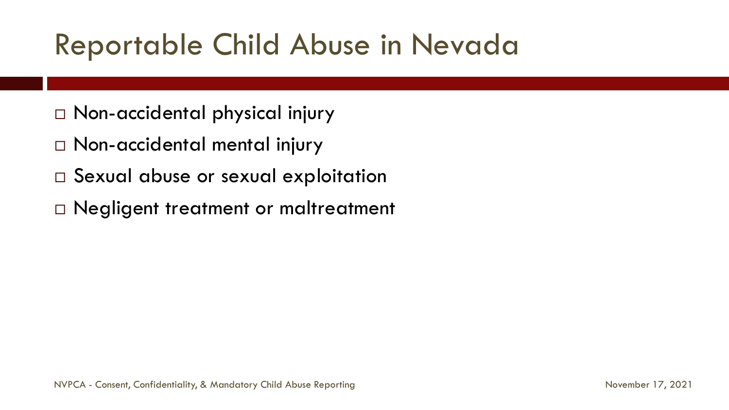## Reportable Child Abuse in Nevada

- Non-accidental physical injury
- Non-accidental mental injury
- □ Sexual abuse or sexual exploitation
- □ Negligent treatment or maltreatment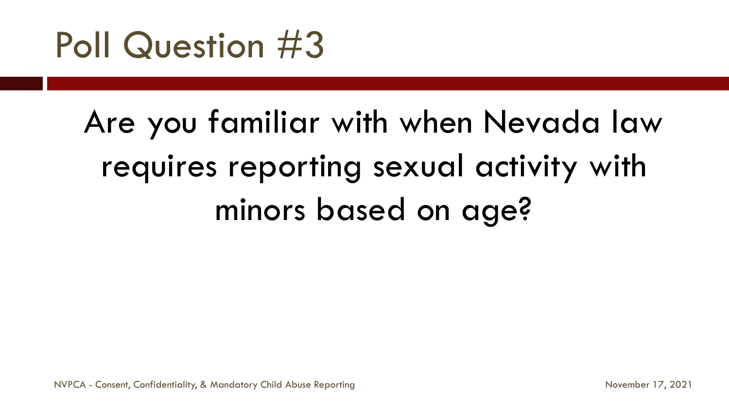# Poll Question #3

# Are you familiar with when Nevada law requires reporting sexual activity with minors based on age?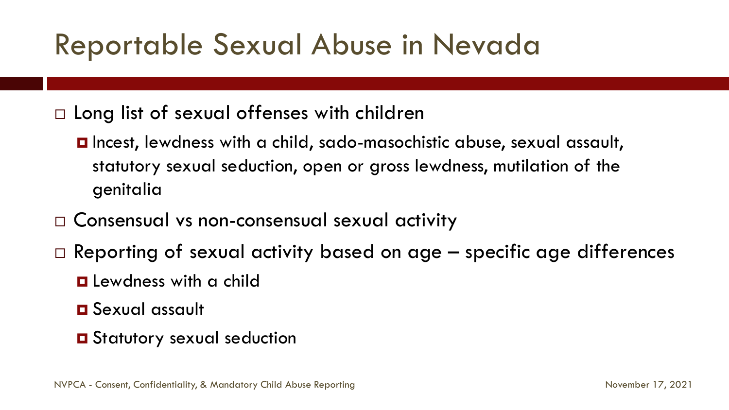## Reportable Sexual Abuse in Nevada

 $\Box$  Long list of sexual offenses with children

- Incest, lewdness with a child, sado-masochistic abuse, sexual assault, statutory sexual seduction, open or gross lewdness, mutilation of the genitalia
- □ Consensual vs non-consensual sexual activity
- $\Box$  Reporting of sexual activity based on age  $-$  specific age differences
	- **Q** Lewdness with a child
	- Sexual assault
	- **O** Statutory sexual seduction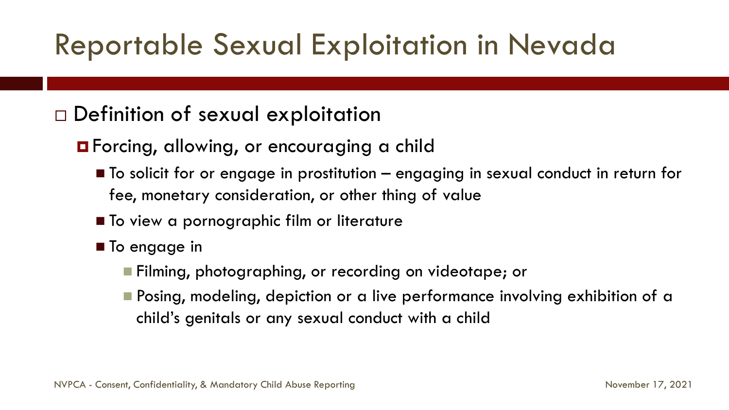## Reportable Sexual Exploitation in Nevada

### Definition of sexual exploitation

**O** Forcing, allowing, or encouraging a child

- To solicit for or engage in prostitution engaging in sexual conduct in return for fee, monetary consideration, or other thing of value
- To view a pornographic film or literature
- **To engage in** 
	- **Filming, photographing, or recording on videotape; or**
	- **Posing, modeling, depiction or a live performance involving exhibition of a** child's genitals or any sexual conduct with a child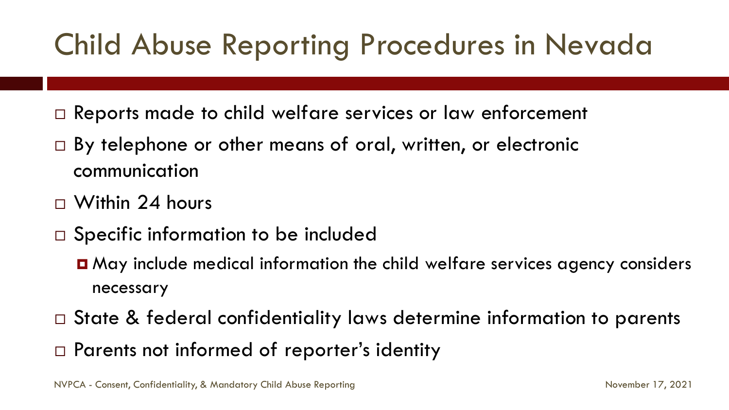## Child Abuse Reporting Procedures in Nevada

- □ Reports made to child welfare services or law enforcement
- □ By telephone or other means of oral, written, or electronic communication
- $\Box$  Within 24 hours
- $\Box$  Specific information to be included
	- May include medical information the child welfare services agency considers necessary
- □ State & federal confidentiality laws determine information to parents
- □ Parents not informed of reporter's identity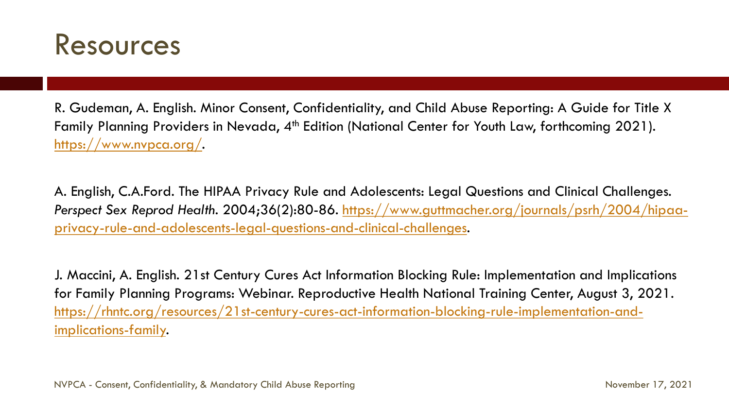

R. Gudeman, A. English. Minor Consent, Confidentiality, and Child Abuse Reporting: A Guide for Title X Family Planning Providers in Nevada, 4<sup>th</sup> Edition (National Center for Youth Law, forthcoming 2021). [https://www.nvpca.org/.](https://www.nvpca.org/)

A. English, C.A.Ford. The HIPAA Privacy Rule and Adolescents: Legal Questions and Clinical Challenges. *Perspect Sex Reprod Health*[. 2004;36\(2\):80-86. https://www.guttmacher.org/journals/psrh/2004/hipaa](https://www.guttmacher.org/journals/psrh/2004/hipaa-privacy-rule-and-adolescents-legal-questions-and-clinical-challenges)privacy-rule-and-adolescents-legal-questions-and-clinical-challenges.

J. Maccini, A. English. 21st Century Cures Act Information Blocking Rule: Implementation and Implications for Family Planning Programs: Webinar. Reproductive Health National Training Center, August 3, 2021. [https://rhntc.org/resources/21st-century-cures-act-information-blocking-rule-implementation-and](https://rhntc.org/resources/21st-century-cures-act-information-blocking-rule-implementation-and-implications-family)implications-family.